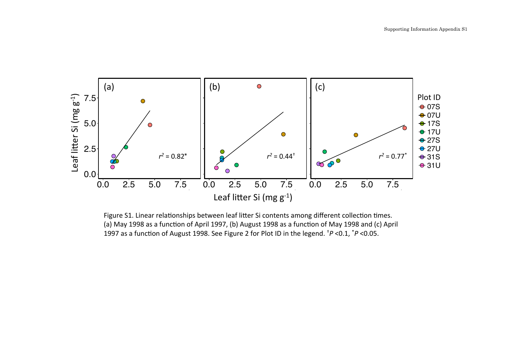

Figure S1. Linear relationships between leaf litter Si contents among different collection times. (a) May 1998 as a function of April 1997, (b) August 1998 as a function of May 1998 and (c) April 1997 as a function of August 1998. See Figure 2 for Plot ID in the legend.  $\frac{p}{P}$  < 0.1,  $\frac{p}{P}$  < 0.05.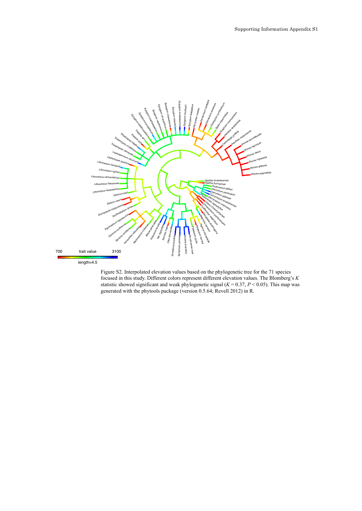

Figure S2. Interpolated elevation values based on the phylogenetic tree for the 71 species focused in this study. Different colors represent different elevation values. The Blomberg's *K* statistic showed significant and weak phylogenetic signal ( $K = 0.37$ ,  $P < 0.05$ ). This map was generated with the phytools package (version 0.5.64; Revell 2012) in R.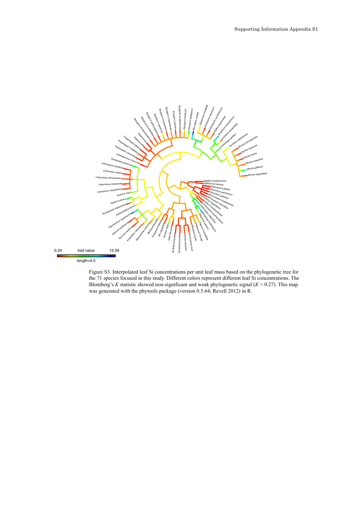

Figure S3. Interpolated leaf Si concentrations per unit leaf mass based on the phylogenetic tree for the 71 species focused in this study. Different colors represent different leaf Si concentrations. The Blomberg's *K* statistic showed non-significant and weak phylogenetic signal ( $K = 0.27$ ). This map was generated with the phytools package (version 0.5.64; Revell 2012) in R.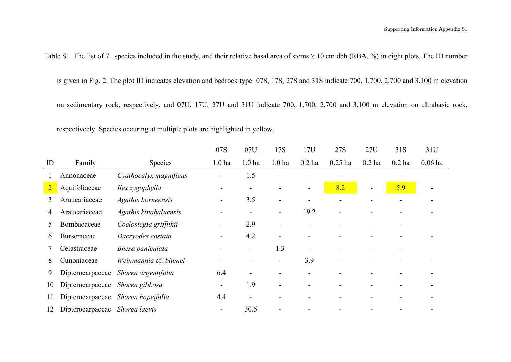Table S1. The list of 71 species included in the study, and their relative basal area of stems  $\geq 10$  cm dbh (RBA, %) in eight plots. The ID number

is given in Fig. 2. The plot ID indicates elevation and bedrock type: 07S, 17S, 27S and 31S indicate 700, 1,700, 2,700 and 3,100 m elevation

on sedimentary rock, respectively, and 07U, 17U, 27U and 31U indicate 700, 1,700, 2,700 and 3,100 m elevation on ultrabasic rock,

respectivcely. Species occuring at multiple plots are highlighted in yellow.

|                |                                |                        | 07S               | 07U               | 17S                      | 17U            | 27S       | 27U                      | 31S      | 31U       |
|----------------|--------------------------------|------------------------|-------------------|-------------------|--------------------------|----------------|-----------|--------------------------|----------|-----------|
| ID             | Family                         | <b>Species</b>         | 1.0 <sub>ha</sub> | 1.0 <sub>ha</sub> | 1.0 <sub>ha</sub>        | $0.2$ ha       | $0.25$ ha | $0.2$ ha                 | $0.2$ ha | $0.06$ ha |
|                | Annonaceae                     | Cyathocalyx magnificus |                   | 1.5               |                          |                |           |                          |          |           |
| $\overline{2}$ | Aquifoliaceae                  | Ilex zygophylla        |                   |                   |                          | $\blacksquare$ | 8.2       | $\overline{\phantom{a}}$ | 5.9      |           |
| 3              | Araucariaceae                  | Agathis borneensis     |                   | 3.5               |                          |                |           |                          |          |           |
| 4              | Araucariaceae                  | Agathis kinabaluensis  |                   | -                 | $\overline{\phantom{a}}$ | 19.2           |           |                          |          |           |
|                | Bombacaceae                    | Coelostegia griffithii |                   | 2.9               | $\overline{\phantom{0}}$ |                |           |                          |          |           |
| 6              | Burseraceae                    | Dacryodes costata      |                   | 4.2               |                          |                |           |                          |          |           |
|                | Celastraceae                   | Bhesa paniculata       |                   | $\blacksquare$    | 1.3                      |                |           |                          |          |           |
| 8              | Cunoniaceae                    | Weinmannia cf. blumei  |                   |                   |                          | 3.9            |           |                          |          |           |
| 9              | Dipterocarpaceae               | Shorea argentifolia    | 6.4               |                   |                          |                |           |                          |          |           |
| 10             | Dipterocarpaceae               | Shorea gibbosa         |                   | 1.9               |                          |                |           |                          |          |           |
| 11             | Dipterocarpaceae               | Shorea hopeifolia      | 4.4               |                   |                          |                |           |                          |          |           |
| 12             | Dipterocarpaceae Shorea laevis |                        |                   | 30.5              |                          |                |           |                          |          |           |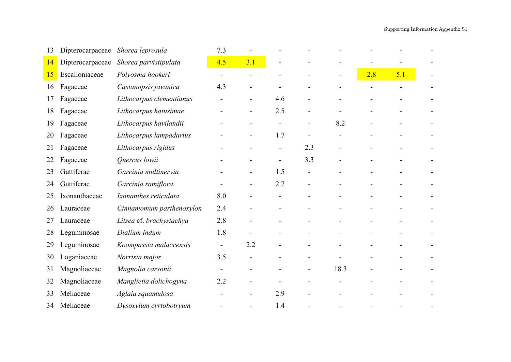| 13 | Dipterocarpaceae | Shorea leprosula         | 7.3 |                          |                          |                          |                          |     |     |  |
|----|------------------|--------------------------|-----|--------------------------|--------------------------|--------------------------|--------------------------|-----|-----|--|
| 14 | Dipterocarpaceae | Shorea parvistipulata    | 4.5 | 3.1                      |                          |                          |                          |     |     |  |
| 15 | Escalloniaceae   | Polyosma hookeri         |     | $\qquad \qquad -$        |                          |                          | $\blacksquare$           | 2.8 | 5.1 |  |
| 16 | Fagaceae         | Castanopsis javanica     | 4.3 |                          |                          |                          |                          |     |     |  |
| 17 | Fagaceae         | Lithocarpus clementianus |     | $\overline{\phantom{0}}$ | 4.6                      |                          |                          |     |     |  |
| 18 | Fagaceae         | Lithocarpus hatusimae    |     | $\blacksquare$           | 2.5                      | $\overline{\phantom{a}}$ | $\overline{\phantom{a}}$ |     |     |  |
| 19 | Fagaceae         | Lithocarpus havilandii   |     |                          |                          |                          | 8.2                      |     |     |  |
| 20 | Fagaceae         | Lithocarpus lampadarius  |     | $\overline{\phantom{a}}$ | 1.7                      | $\overline{\phantom{0}}$ | $\overline{a}$           |     |     |  |
| 21 | Fagaceae         | Lithocarpus rigidus      |     |                          | $\overline{\phantom{0}}$ | 2.3                      |                          |     |     |  |
| 22 | Fagaceae         | Quercus lowii            |     |                          | $\blacksquare$           | 3.3                      |                          |     |     |  |
| 23 | Guttiferae       | Garcinia multinervia     |     | $\overline{\phantom{a}}$ | 1.5                      | $\overline{a}$           |                          |     |     |  |
| 24 | Guttiferae       | Garcinia ramiflora       |     | $\overline{\phantom{a}}$ | 2.7                      | -                        |                          |     |     |  |
| 25 | Ixonanthaceae    | Ixonanthes reticulata    | 8.0 |                          |                          | $\blacksquare$           |                          |     |     |  |
| 26 | Lauraceae        | Cinnamomum parthenoxylon | 2.4 |                          |                          |                          |                          |     |     |  |
| 27 | Lauraceae        | Litsea cf. brachystachya | 2.8 |                          |                          |                          |                          |     |     |  |
| 28 | Leguminosae      | Dialium indum            | 1.8 |                          |                          | -                        |                          |     |     |  |
| 29 | Leguminosae      | Koompassia malaccensis   |     | 2.2                      |                          |                          |                          |     |     |  |
| 30 | Loganiaceae      | Norrisia major           | 3.5 |                          |                          |                          |                          |     |     |  |
| 31 | Magnoliaceae     | Magnolia carsonii        |     |                          |                          | -                        | 18.3                     |     |     |  |
| 32 | Magnoliaceae     | Manglietia dolichogyna   | 2.2 |                          |                          |                          |                          |     |     |  |
| 33 | Meliaceae        | Aglaia squamulosa        |     |                          | 2.9                      |                          |                          |     |     |  |
| 34 | Meliaceae        | Dysoxylum cyrtobotryum   |     |                          | 1.4                      |                          |                          |     |     |  |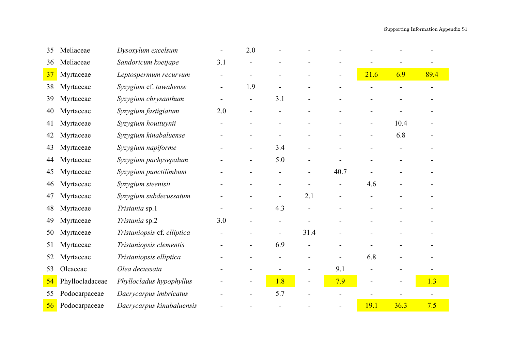| 35 | Meliaceae       | Dysoxylum excelsum          |                | 2.0                      |                          |      |      |      |      |      |  |
|----|-----------------|-----------------------------|----------------|--------------------------|--------------------------|------|------|------|------|------|--|
| 36 | Meliaceae       | Sandoricum koetjape         | 3.1            | $\overline{\phantom{a}}$ |                          |      |      |      |      |      |  |
| 37 | Myrtaceae       | Leptospermum recurvum       |                |                          |                          |      |      | 21.6 | 6.9  | 89.4 |  |
| 38 | Myrtaceae       | Syzygium cf. tawahense      |                | 1.9                      |                          |      |      |      |      |      |  |
| 39 | Myrtaceae       | Syzygium chrysanthum        | $\blacksquare$ | $\overline{\phantom{a}}$ | 3.1                      |      |      |      |      |      |  |
| 40 | Myrtaceae       | Syzygium fastigiatum        | 2.0            | $\overline{\phantom{a}}$ |                          |      |      |      |      |      |  |
| 41 | Myrtaceae       | Syzygium houttuynii         |                |                          |                          |      |      |      | 10.4 |      |  |
| 42 | Myrtaceae       | Syzygium kinabaluense       |                |                          |                          |      |      |      | 6.8  |      |  |
| 43 | Myrtaceae       | Syzygium napiforme          |                | $\overline{\phantom{a}}$ | 3.4                      |      |      |      |      |      |  |
| 44 | Myrtaceae       | Syzygium pachysepalum       |                | $\overline{\phantom{a}}$ | 5.0                      |      |      |      |      |      |  |
| 45 | Myrtaceae       | Syzygium punctilimbum       |                |                          |                          |      | 40.7 |      |      |      |  |
| 46 | Myrtaceae       | Syzygium steenisii          |                |                          |                          |      |      | 4.6  |      |      |  |
| 47 | Myrtaceae       | Syzygium subdecussatum      |                |                          | $\overline{\phantom{a}}$ | 2.1  |      |      |      |      |  |
| 48 | Myrtaceae       | Tristania sp.1              |                | $\overline{\phantom{a}}$ | 4.3                      |      |      |      |      |      |  |
| 49 | Myrtaceae       | Tristania sp.2              | 3.0            |                          |                          |      |      |      |      |      |  |
| 50 | Myrtaceae       | Tristaniopsis cf. elliptica |                |                          |                          | 31.4 |      |      |      |      |  |
| 51 | Myrtaceae       | Tristaniopsis clementis     |                |                          | 6.9                      |      |      |      |      |      |  |
| 52 | Myrtaceae       | Tristaniopsis elliptica     |                |                          |                          |      |      | 6.8  |      |      |  |
| 53 | Oleaceae        | Olea decussata              |                |                          | $\blacksquare$           |      | 9.1  |      |      |      |  |
| 54 | Phyllocladaceae | Phyllocladus hypophyllus    |                | $\blacksquare$           | 1.8                      |      | 7.9  |      |      | 1.3  |  |
| 55 | Podocarpaceae   | Dacrycarpus imbricatus      |                |                          | 5.7                      |      |      |      |      |      |  |
| 56 | Podocarpaceae   | Dacrycarpus kinabaluensis   |                |                          |                          |      |      | 19.1 | 36.3 | 7.5  |  |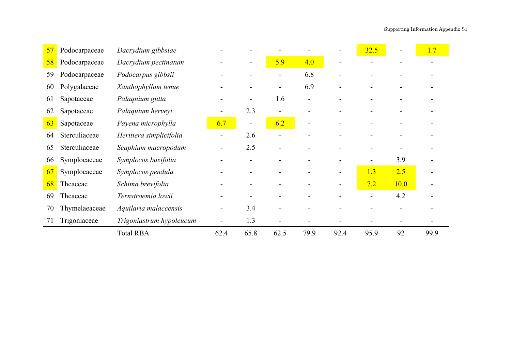| 57 | Podocarpaceae | Dacrydium gibbsiae       |      |                |                          |      |      | 32.5                     |      | 1.7  |
|----|---------------|--------------------------|------|----------------|--------------------------|------|------|--------------------------|------|------|
| 58 | Podocarpaceae | Dacrydium pectinatum     |      | ۰.             | 5.9                      | 4.0  |      |                          |      |      |
| 59 | Podocarpaceae | Podocarpus gibbsii       |      |                |                          | 6.8  |      |                          |      |      |
| 60 | Polygalaceae  | Xanthophyllum tenue      |      |                | $\overline{\phantom{0}}$ | 6.9  |      |                          |      |      |
| 61 | Sapotaceae    | Palaquium gutta          |      |                | 1.6                      |      |      |                          |      |      |
| 62 | Sapotaceae    | Palaquium herveyi        |      | 2.3            |                          |      |      |                          |      |      |
| 63 | Sapotaceae    | Payena microphylla       | 6.7  | $\blacksquare$ | 6.2                      |      |      |                          |      |      |
| 64 | Sterculiaceae | Heritiera simplicifolia  |      | 2.6            |                          |      |      |                          |      |      |
| 65 | Sterculiaceae | Scaphium macropodum      |      | 2.5            |                          |      |      |                          |      |      |
| 66 | Symplocaceae  | Symplocos buxifolia      |      |                |                          |      |      | $\overline{\phantom{a}}$ | 3.9  |      |
| 67 | Symplocaceae  | Symplocos pendula        |      |                |                          |      |      | 1.3                      | 2.5  |      |
| 68 | Theaceae      | Schima brevifolia        |      |                |                          |      |      | 7.2                      | 10.0 |      |
| 69 | Theaceae      | Ternstroemia lowii       |      |                |                          |      |      |                          | 4.2  |      |
| 70 | Thymelaeaceae | Aquilaria malaccensis    |      | 3.4            |                          |      |      |                          |      |      |
| 71 | Trigoniaceae  | Trigoniastrum hypoleucum |      | 1.3            |                          |      |      |                          |      |      |
|    |               | <b>Total RBA</b>         | 62.4 | 65.8           | 62.5                     | 79.9 | 92.4 | 95.9                     | 92   | 99.9 |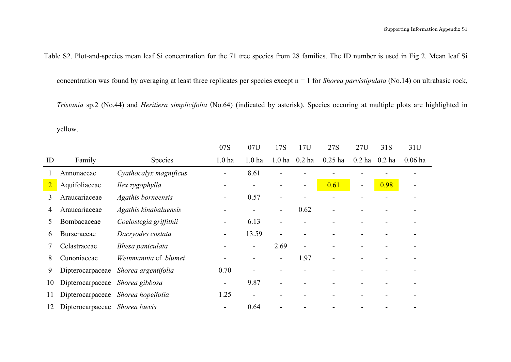Table S2. Plot-and-species mean leaf Si concentration for the 71 tree species from 28 families. The ID number is used in Fig 2. Mean leaf Si

concentration was found by averaging at least three replicates per species except n = 1 for *Shorea parvistipulata* (No.14) on ultrabasic rock,

*Tristania* sp.2 (No.44) and *Heritiera simplicifolia* (No.64) (indicated by asterisk). Species occuring at multiple plots are highlighted in

yellow.

|                |                  |                                    | 07S               | 07U                      | 17S               | 17U                      | 27S       | 27U            | 31S      | 31U       |
|----------------|------------------|------------------------------------|-------------------|--------------------------|-------------------|--------------------------|-----------|----------------|----------|-----------|
| ID             | Family           | <b>Species</b>                     | 1.0 <sub>ha</sub> | 1.0 <sub>ha</sub>        | 1.0 <sub>ha</sub> | $0.2$ ha                 | $0.25$ ha | $0.2$ ha       | $0.2$ ha | $0.06$ ha |
|                | Annonaceae       | Cyathocalyx magnificus             |                   | 8.61                     |                   |                          |           |                |          |           |
| $\overline{2}$ | Aquifoliaceae    | Ilex zygophylla                    |                   |                          |                   | $\overline{\phantom{a}}$ | 0.61      | $\blacksquare$ | 0.98     |           |
| 3              | Araucariaceae    | Agathis borneensis                 |                   | 0.57                     |                   |                          |           |                |          |           |
| 4              | Araucariaceae    | Agathis kinabaluensis              |                   |                          |                   | 0.62                     |           |                |          |           |
| $\mathcal{L}$  | Bombacaceae      | Coelostegia griffithii             |                   | 6.13                     |                   | $\overline{\phantom{a}}$ |           |                |          |           |
| 6              | Burseraceae      | Dacryodes costata                  | -                 | 13.59                    |                   |                          |           |                |          |           |
|                | Celastraceae     | Bhesa paniculata                   |                   | $\overline{\phantom{a}}$ | 2.69              | $\blacksquare$           |           |                |          |           |
| 8              | Cunoniaceae      | Weinmannia cf. blumei              |                   |                          | Ξ.                | 1.97                     |           |                |          |           |
| 9              | Dipterocarpaceae | Shorea argentifolia                | 0.70              |                          |                   |                          |           |                |          |           |
| 10             | Dipterocarpaceae | Shorea gibbosa                     | Ξ.                | 9.87                     |                   |                          |           |                |          |           |
| 11             |                  | Dipterocarpaceae Shorea hopeifolia | 1.25              |                          |                   |                          |           |                |          |           |
| 12             | Dipterocarpaceae | Shorea laevis                      |                   | 0.64                     |                   |                          |           |                |          |           |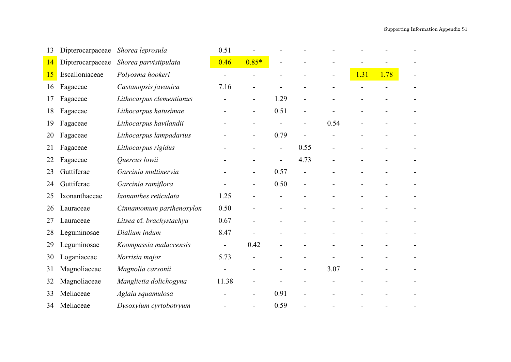| 13        | Dipterocarpaceae | Shorea leprosula         | 0.51           |         |                |                          |      |      |      |  |
|-----------|------------------|--------------------------|----------------|---------|----------------|--------------------------|------|------|------|--|
| 14        | Dipterocarpaceae | Shorea parvistipulata    | 0.46           | $0.85*$ | $\blacksquare$ |                          |      |      |      |  |
| <u>15</u> | Escalloniaceae   | Polyosma hookeri         |                |         |                |                          |      | 1.31 | 1.78 |  |
| 16        | Fagaceae         | Castanopsis javanica     | 7.16           |         |                |                          |      |      |      |  |
| 17        | Fagaceae         | Lithocarpus clementianus |                |         | 1.29           |                          |      |      |      |  |
| 18        | Fagaceae         | Lithocarpus hatusimae    |                |         | 0.51           |                          |      |      |      |  |
| 19        | Fagaceae         | Lithocarpus havilandii   |                |         |                |                          | 0.54 |      |      |  |
| 20        | Fagaceae         | Lithocarpus lampadarius  |                |         | 0.79           | $\overline{\phantom{0}}$ |      |      |      |  |
| 21        | Fagaceae         | Lithocarpus rigidus      |                |         |                | 0.55                     |      |      |      |  |
| 22        | Fagaceae         | Quercus lowii            |                |         |                | 4.73                     |      |      |      |  |
| 23        | Guttiferae       | Garcinia multinervia     |                |         | 0.57           |                          |      |      |      |  |
| 24        | Guttiferae       | Garcinia ramiflora       |                |         | 0.50           |                          |      |      |      |  |
| 25        | Ixonanthaceae    | Ixonanthes reticulata    | 1.25           |         |                |                          |      |      |      |  |
| 26        | Lauraceae        | Cinnamomum parthenoxylon | 0.50           |         |                |                          |      |      |      |  |
| 27        | Lauraceae        | Litsea cf. brachystachya | 0.67           |         |                |                          |      |      |      |  |
| 28        | Leguminosae      | Dialium indum            | 8.47           |         |                |                          |      |      |      |  |
| 29        | Leguminosae      | Koompassia malaccensis   | $\overline{a}$ | 0.42    |                |                          |      |      |      |  |
| 30        | Loganiaceae      | Norrisia major           | 5.73           |         |                |                          |      |      |      |  |
| 31        | Magnoliaceae     | Magnolia carsonii        |                |         |                |                          | 3.07 |      |      |  |
| 32        | Magnoliaceae     | Manglietia dolichogyna   | 11.38          |         |                |                          |      |      |      |  |
| 33        | Meliaceae        | Aglaia squamulosa        |                |         | 0.91           |                          |      |      |      |  |
| 34        | Meliaceae        | Dysoxylum cyrtobotryum   |                |         | 0.59           |                          |      |      |      |  |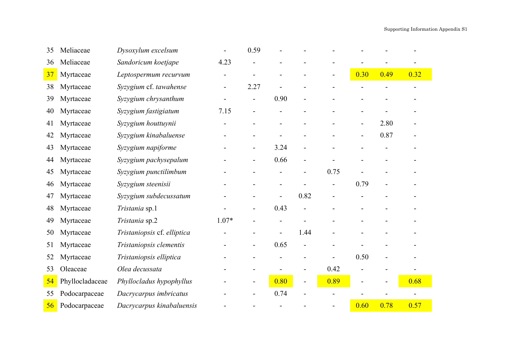| 35 | Meliaceae       | Dysoxylum excelsum          |         | 0.59                     |                          |                          |      |                |      |      |
|----|-----------------|-----------------------------|---------|--------------------------|--------------------------|--------------------------|------|----------------|------|------|
| 36 | Meliaceae       | Sandoricum koetjape         | 4.23    | Ĭ.                       |                          |                          |      |                |      |      |
| 37 | Myrtaceae       | Leptospermum recurvum       |         |                          |                          |                          |      | 0.30           | 0.49 | 0.32 |
| 38 | Myrtaceae       | Syzygium cf. tawahense      |         | 2.27                     |                          |                          |      |                |      |      |
| 39 | Myrtaceae       | Syzygium chrysanthum        |         | $\overline{\phantom{m}}$ | 0.90                     |                          |      |                |      |      |
| 40 | Myrtaceae       | Syzygium fastigiatum        | 7.15    | $\overline{\phantom{a}}$ |                          |                          |      |                |      |      |
| 41 | Myrtaceae       | Syzygium houttuynii         |         |                          |                          |                          |      |                | 2.80 |      |
| 42 | Myrtaceae       | Syzygium kinabaluense       |         |                          |                          |                          |      | $\blacksquare$ | 0.87 |      |
| 43 | Myrtaceae       | Syzygium napiforme          |         | $\overline{\phantom{a}}$ | 3.24                     |                          |      |                |      |      |
| 44 | Myrtaceae       | Syzygium pachysepalum       |         | $\overline{\phantom{a}}$ | 0.66                     | ÷                        |      |                |      |      |
| 45 | Myrtaceae       | Syzygium punctilimbum       |         |                          |                          | $\overline{\phantom{a}}$ | 0.75 |                |      |      |
| 46 | Myrtaceae       | Syzygium steenisii          |         |                          | $\overline{\phantom{0}}$ |                          |      | 0.79           |      |      |
| 47 | Myrtaceae       | Syzygium subdecussatum      |         |                          |                          | 0.82                     |      |                |      |      |
| 48 | Myrtaceae       | Tristania sp.1              |         | $\overline{\phantom{a}}$ | 0.43                     |                          |      |                |      |      |
| 49 | Myrtaceae       | Tristania sp.2              | $1.07*$ |                          |                          |                          |      |                |      |      |
| 50 | Myrtaceae       | Tristaniopsis cf. elliptica |         |                          |                          | 1.44                     |      |                |      |      |
| 51 | Myrtaceae       | Tristaniopsis clementis     |         | $\overline{\phantom{a}}$ | 0.65                     | $\overline{a}$           |      |                |      |      |
| 52 | Myrtaceae       | Tristaniopsis elliptica     |         |                          |                          |                          |      | 0.50           |      |      |
| 53 | Oleaceae        | Olea decussata              |         |                          |                          |                          | 0.42 |                |      |      |
| 54 | Phyllocladaceae | Phyllocladus hypophyllus    |         | $\blacksquare$           | 0.80                     | $\blacksquare$           | 0.89 |                |      | 0.68 |
| 55 | Podocarpaceae   | Dacrycarpus imbricatus      |         |                          | 0.74                     |                          |      |                |      |      |
| 56 | Podocarpaceae   | Dacrycarpus kinabaluensis   |         |                          |                          |                          |      | 0.60           | 0.78 | 0.57 |